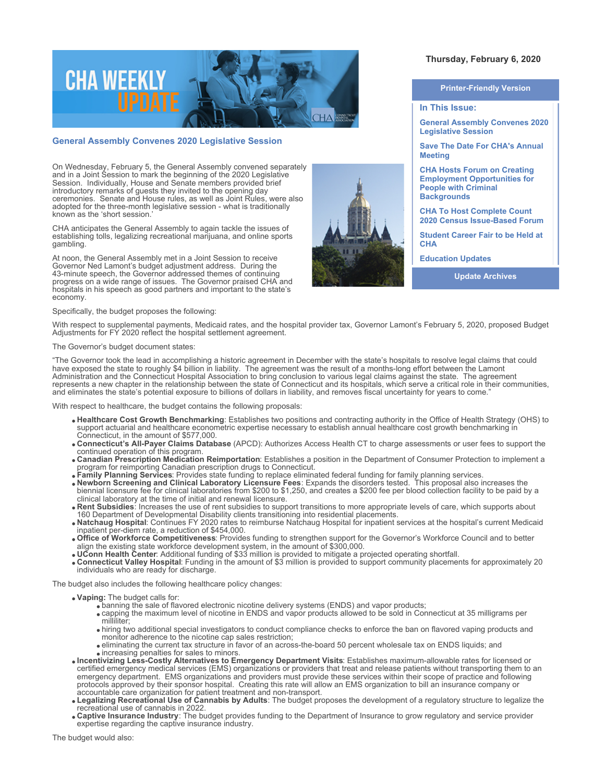

## **General Assembly Convenes 2020 Legislative Session**

On Wednesday, February 5, the General Assembly convened separately and in a Joint Session to mark the beginning of the 2020 Legislative Session. Individually, House and Senate members provided brief introductory remarks of guests they invited to the opening day ceremonies. Senate and House rules, as well as Joint Rules, were also adopted for the three-month legislative session - what is traditionally known as the 'short session.'

CHA anticipates the General Assembly to again tackle the issues of establishing tolls, legalizing recreational marijuana, and online sports gambling.

At noon, the General Assembly met in a Joint Session to receive Governor Ned Lamont's budget adjustment address. During the 43-minute speech, the Governor addressed themes of continuing progress on a wide range of issues. The Governor praised CHA and hospitals in his speech as good partners and important to the state's economy.

Specifically, the budget proposes the following:

With respect to supplemental payments, Medicaid rates, and the hospital provider tax, Governor Lamont's February 5, 2020, proposed Budget Adjustments for FY 2020 reflect the hospital settlement agreement.

### The Governor's budget document states:

"The Governor took the lead in accomplishing a historic agreement in December with the state's hospitals to resolve legal claims that could have exposed the state to roughly \$4 billion in liability. The agreement was the result of a months-long effort between the Lamont Administration and the Connecticut Hospital Association to bring conclusion to various legal claims against the state. The agreement represents a new chapter in the relationship between the state of Connecticut and its hospitals, which serve a critical role in their communities, and eliminates the state's potential exposure to billions of dollars in liability, and removes fiscal uncertainty for years to come."

With respect to healthcare, the budget contains the following proposals:

- **Healthcare Cost Growth Benchmarking**: Establishes two positions and contracting authority in the Office of Health Strategy (OHS) to support actuarial and healthcare econometric expertise necessary to establish annual healthcare cost growth benchmarking in Connecticut, in the amount of \$577,000.
- **Connecticut's All-Payer Claims Database** (APCD): Authorizes Access Health CT to charge assessments or user fees to support the continued operation of this program.
- **Canadian Prescription Medication Reimportation**: Establishes a position in the Department of Consumer Protection to implement a program for reimporting Canadian prescription drugs to Connecticut.
- **Family Planning Services**: Provides state funding to replace eliminated federal funding for family planning services.
- **Newborn Screening and Clinical Laboratory Licensure Fees**: Expands the disorders tested. This proposal also increases the biennial licensure fee for clinical laboratories from \$200 to \$1,250, and creates a \$200 fee per blood collection facility to be paid by a clinical laboratory at the time of initial and renewal licensure.
- **Rent Subsidies**: Increases the use of rent subsidies to support transitions to more appropriate levels of care, which supports about 160 Department of Developmental Disability clients transitioning into residential placements.
- **Natchaug Hospital**: Continues FY 2020 rates to reimburse Natchaug Hospital for inpatient services at the hospital's current Medicaid inpatient per-diem rate, a reduction of \$454,000.
- **Office of Workforce Competitiveness**: Provides funding to strengthen support for the Governor's Workforce Council and to better align the existing state workforce development system, in the amount of \$300,000.
- **UConn Health Center**: Additional funding of \$33 million is provided to mitigate a projected operating shortfall.
- **Connecticut Valley Hospital**: Funding in the amount of \$3 million is provided to support community placements for approximately 20 individuals who are ready for discharge.

The budget also includes the following healthcare policy changes:

- **Vaping:** The budget calls for:
	- $\bullet$  banning the sale of flavored electronic nicotine delivery systems (ENDS) and vapor products:
	- capping the maximum level of nicotine in ENDS and vapor products allowed to be sold in Connecticut at 35 milligrams per milliliter;
	- hiring two additional special investigators to conduct compliance checks to enforce the ban on flavored vaping products and monitor adherence to the nicotine cap sales restriction;
	- eliminating the current tax structure in favor of an across-the-board 50 percent wholesale tax on ENDS liquids; and increasing penalties for sales to minors.
- **Incentivizing Less-Costly Alternatives to Emergency Department Visits**: Establishes maximum-allowable rates for licensed or certified emergency medical services (EMS) organizations or providers that treat and release patients without transporting them to an emergency department. EMS organizations and providers must provide these services within their scope of practice and following protocols approved by their sponsor hospital. Creating this rate will allow an EMS organization to bill an insurance company or accountable care organization for patient treatment and non-transport.
- **Legalizing Recreational Use of Cannabis by Adults**: The budget proposes the development of a regulatory structure to legalize the recreational use of cannabis in 2022.
- **Captive Insurance Industry**: The budget provides funding to the Department of Insurance to grow regulatory and service provider expertise regarding the captive insurance industry.

#### **Printer-Friendly Version**

**Thursday, February 6, 2020** 

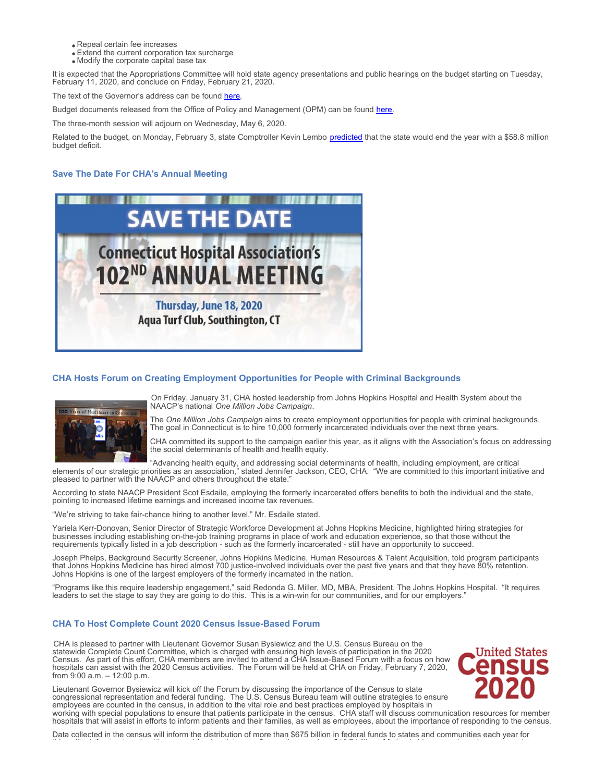- Repeal certain fee increases
- Extend the current corporation tax surcharge
- Modify the corporate capital base tax

It is expected that the Appropriations Committee will hold state agency presentations and public hearings on the budget starting on Tuesday, February 11, 2020, and conclude on Friday, February 21, 2020.

The text of the Governor's address can be found [here](https://portal.ct.gov/Office-of-the-Governor/News/Speeches/Governor-Lamont-2020-State-of-the-State-Address).

Budget documents released from the Office of Policy and Management (OPM) can be found [here](https://portal.ct.gov/OPM/Bud-Budgets/Bud-Budgets/FY-2021-Budget-Adjustments).

The three-month session will adjourn on Wednesday, May 6, 2020.

Related to the budget, on Monday, February 3, state Comptroller Kevin Lembo [predicted](https://www.osc.ct.gov/public/news/releases/20200203.html?utm_source=CTNewsJunkie+Main+List+With+Publication+Groups&utm_campaign=cfa640d541-MCP_COPY_02&utm_medium=email&utm_term=0_a493d2308d-cfa640d541-92870421) that the state would end the year with a \$58.8 million budget deficit.

# **Save The Date For CHA's Annual Meeting**



## **CHA Hosts Forum on Creating Employment Opportunities for People with Criminal Backgrounds**



On Friday, January 31, CHA hosted leadership from Johns Hopkins Hospital and Health System about the NAACP's national *One Million Jobs Campaign*.

The *One Million Jobs Campaign* aims to create employment opportunities for people with criminal backgrounds. The goal in Connecticut is to hire 10,000 formerly incarcerated individuals over the next three years.

CHA committed its support to the campaign earlier this year, as it aligns with the Association's focus on addressing the social determinants of health and health equity.

"Advancing health equity, and addressing social determinants of health, including employment, are critical elements of our strategic priorities as an association," stated Jennifer Jackson, CEO, CHA. "We are committed to this important initiative and pleased to partner with the NAACP and others throughout the state.

According to state NAACP President Scot Esdaile, employing the formerly incarcerated offers benefits to both the individual and the state, pointing to increased lifetime earnings and increased income tax revenues.

"We're striving to take fair-chance hiring to another level," Mr. Esdaile stated.

Yariela Kerr-Donovan, Senior Director of Strategic Workforce Development at Johns Hopkins Medicine, highlighted hiring strategies for businesses including establishing on-the-job training programs in place of work and education experience, so that those without the requirements typically listed in a job description - such as the formerly incarcerated - still have an opportunity to succeed.

Joseph Phelps, Background Security Screener, Johns Hopkins Medicine, Human Resources & Talent Acquisition, told program participants that Johns Hopkins Medicine has hired almost 700 justice-involved individuals over the past five years and that they have 80% retention. Johns Hopkins is one of the largest employers of the formerly incarnated in the nation.

"Programs like this require leadership engagement," said Redonda G. Miller, MD, MBA, President, The Johns Hopkins Hospital. "It requires leaders to set the stage to say they are going to do this. This is a win-win for our communities, and for our employers."

## **CHA To Host Complete Count 2020 Census Issue-Based Forum**

CHA is pleased to partner with Lieutenant Governor Susan Bysiewicz and the U.S. Census Bureau on the statewide Complete Count Committee, which is charged with ensuring high levels of participation in the 2020 Census. As part of this effort, CHA members are invited to attend a CHA Issue-Based Forum with a focus on how hospitals can assist with the 2020 Census activities. The Forum will be held at CHA on Friday, February 7, 2020, from 9:00 a.m. – 12:00 p.m.



Lieutenant Governor Bysiewicz will kick off the Forum by discussing the importance of the Census to state congressional representation and federal funding. The U.S. Census Bureau team will outline strategies to ensure employees are counted in the census, in addition to the vital role and best practices employed by hospitals in working with special populations to ensure that patients participate in the census. CHA staff will discuss communication resources for member

hospitals that will assist in efforts to inform patients and their families, as well as employees, about the importance of responding to the census.

Data collected in the census will inform the distribution of more than \$675 billion in federal funds to states and communities each year for things like infrastructure, healthcare, and food assistance. Connecticut receives \$10.7 billion of federal aid per year based on census data.